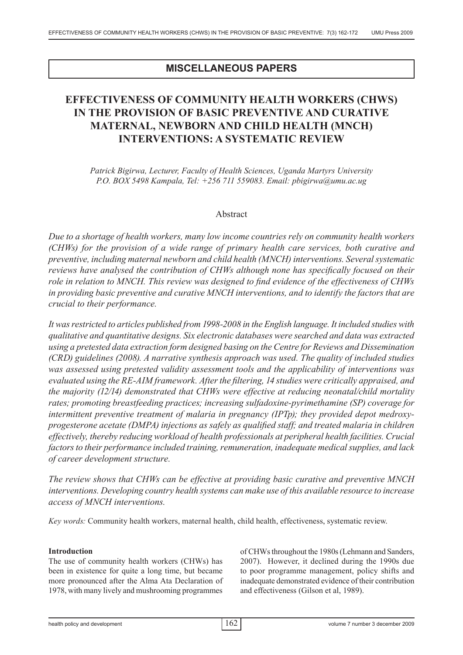## **MISCELLANEOUS PAPERS**

# **EFFECTIVENESS OF COMMUNITY HEALTH WORKERS (CHWS) IN THE PROVISION OF BASIC PREVENTIVE AND CURATIVE MATERNAL, NEWBORN AND CHILD HEALTH (MNCH) INTERVENTIONS: A SYSTEMATIC REVIEW**

*Patrick Bigirwa, Lecturer, Faculty of Health Sciences, Uganda Martyrs University P.O. BOX 5498 Kampala, Tel: +256 711 559083. Email: pbigirwa@umu.ac.ug*

## Abstract

*Due to a shortage of health workers, many low income countries rely on community health workers (CHWs) for the provision of a wide range of primary health care services, both curative and preventive, including maternal newborn and child health (MNCH) interventions. Several systematic reviews have analysed the contribution of CHWs although none has specifically focused on their role in relation to MNCH. This review was designed to find evidence of the effectiveness of CHWs in providing basic preventive and curative MNCH interventions, and to identify the factors that are crucial to their performance.* 

*It was restricted to articles published from 1998-2008 in the English language. It included studies with qualitative and quantitative designs. Six electronic databases were searched and data was extracted using a pretested data extraction form designed basing on the Centre for Reviews and Dissemination (CRD) guidelines (2008). A narrative synthesis approach was used. The quality of included studies was assessed using pretested validity assessment tools and the applicability of interventions was evaluated using the RE-AIM framework. After the filtering, 14 studies were critically appraised, and the majority (12/14) demonstrated that CHWs were effective at reducing neonatal/child mortality rates; promoting breastfeeding practices; increasing sulfadoxine-pyrimethamine (SP) coverage for intermittent preventive treatment of malaria in pregnancy (IPTp); they provided depot medroxyprogesterone acetate (DMPA) injections as safely as qualified staff; and treated malaria in children effectively, thereby reducing workload of health professionals at peripheral health facilities. Crucial factors to their performance included training, remuneration, inadequate medical supplies, and lack of career development structure.* 

*The review shows that CHWs can be effective at providing basic curative and preventive MNCH interventions. Developing country health systems can make use of this available resource to increase access of MNCH interventions.*

*Key words:* Community health workers, maternal health, child health, effectiveness, systematic review.

## **Introduction**

The use of community health workers (CHWs) has been in existence for quite a long time, but became more pronounced after the Alma Ata Declaration of 1978, with many lively and mushrooming programmes of CHWs throughout the 1980s (Lehmann and Sanders, 2007). However, it declined during the 1990s due to poor programme management, policy shifts and inadequate demonstrated evidence of their contribution and effectiveness (Gilson et al, 1989).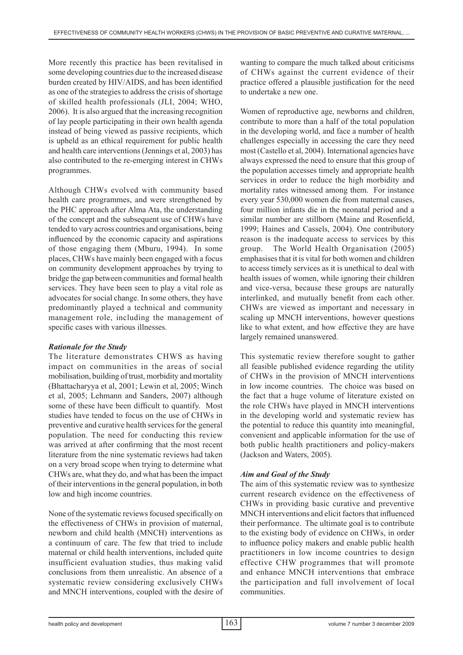More recently this practice has been revitalised in some developing countries due to the increased disease burden created by HIV/AIDS, and has been identified as one of the strategies to address the crisis of shortage of skilled health professionals (JLI, 2004; WHO, 2006). It is also argued that the increasing recognition of lay people participating in their own health agenda instead of being viewed as passive recipients, which is upheld as an ethical requirement for public health and health care interventions (Jennings et al, 2003) has also contributed to the re-emerging interest in CHWs programmes.

Although CHWs evolved with community based health care programmes, and were strengthened by the PHC approach after Alma Ata, the understanding of the concept and the subsequent use of CHWs have tended to vary across countries and organisations, being influenced by the economic capacity and aspirations of those engaging them (Mburu, 1994). In some places, CHWs have mainly been engaged with a focus on community development approaches by trying to bridge the gap between communities and formal health services. They have been seen to play a vital role as advocates for social change. In some others, they have predominantly played a technical and community management role, including the management of specific cases with various illnesses.

#### *Rationale for the Study*

The literature demonstrates CHWS as having impact on communities in the areas of social mobilisation, building of trust, morbidity and mortality (Bhattacharyya et al, 2001; Lewin et al, 2005; Winch et al, 2005; Lehmann and Sanders, 2007) although some of these have been difficult to quantify. Most studies have tended to focus on the use of CHWs in preventive and curative health services for the general population. The need for conducting this review was arrived at after confirming that the most recent literature from the nine systematic reviews had taken on a very broad scope when trying to determine what CHWs are, what they do, and what has been the impact of their interventions in the general population, in both low and high income countries.

None of the systematic reviews focused specifically on the effectiveness of CHWs in provision of maternal, newborn and child health (MNCH) interventions as a continuum of care. The few that tried to include maternal or child health interventions, included quite insufficient evaluation studies, thus making valid conclusions from them unrealistic. An absence of a systematic review considering exclusively CHWs and MNCH interventions, coupled with the desire of wanting to compare the much talked about criticisms of CHWs against the current evidence of their practice offered a plausible justification for the need to undertake a new one.

Women of reproductive age, newborns and children, contribute to more than a half of the total population in the developing world, and face a number of health challenges especially in accessing the care they need most (Castello et al, 2004). International agencies have always expressed the need to ensure that this group of the population accesses timely and appropriate health services in order to reduce the high morbidity and mortality rates witnessed among them. For instance every year 530,000 women die from maternal causes, four million infants die in the neonatal period and a similar number are stillborn (Maine and Rosenfield, 1999; Haines and Cassels, 2004). One contributory reason is the inadequate access to services by this group. The World Health Organisation (2005) emphasises that it is vital for both women and children to access timely services as it is unethical to deal with health issues of women, while ignoring their children and vice-versa, because these groups are naturally interlinked, and mutually benefit from each other. CHWs are viewed as important and necessary in scaling up MNCH interventions, however questions like to what extent, and how effective they are have largely remained unanswered.

This systematic review therefore sought to gather all feasible published evidence regarding the utility of CHWs in the provision of MNCH interventions in low income countries. The choice was based on the fact that a huge volume of literature existed on the role CHWs have played in MNCH interventions in the developing world and systematic review has the potential to reduce this quantity into meaningful, convenient and applicable information for the use of both public health practitioners and policy-makers (Jackson and Waters, 2005).

## *Aim and Goal of the Study*

The aim of this systematic review was to synthesize current research evidence on the effectiveness of CHWs in providing basic curative and preventive MNCH interventions and elicit factors that influenced their performance. The ultimate goal is to contribute to the existing body of evidence on CHWs, in order to influence policy makers and enable public health practitioners in low income countries to design effective CHW programmes that will promote and enhance MNCH interventions that embrace the participation and full involvement of local communities.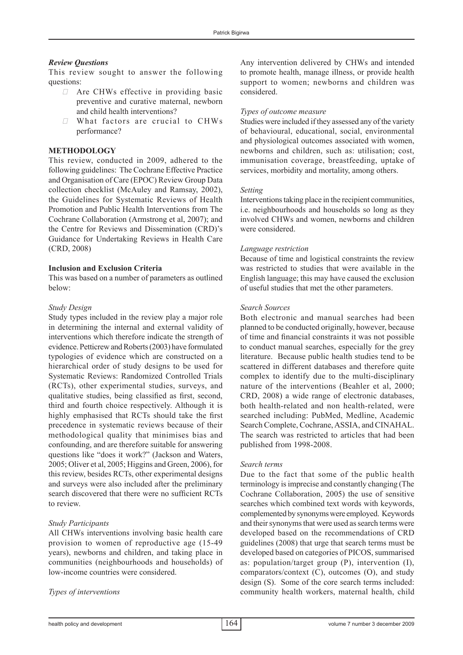#### *Review Questions*

This review sought to answer the following questions:

- □ Are CHWs effective in providing basic preventive and curative maternal, newborn and child health interventions?
- $\Box$  What factors are crucial to CHWs performance?

## **METHODOLOGY**

This review, conducted in 2009, adhered to the following guidelines: The Cochrane Effective Practice and Organisation of Care (EPOC) Review Group Data collection checklist (McAuley and Ramsay, 2002), the Guidelines for Systematic Reviews of Health Promotion and Public Health Interventions from The Cochrane Collaboration (Armstrong et al, 2007); and the Centre for Reviews and Dissemination (CRD)'s Guidance for Undertaking Reviews in Health Care (CRD, 2008)

#### **Inclusion and Exclusion Criteria**

This was based on a number of parameters as outlined below:

#### *Study Design*

Study types included in the review play a major role in determining the internal and external validity of interventions which therefore indicate the strength of evidence. Petticrew and Roberts (2003) have formulated typologies of evidence which are constructed on a hierarchical order of study designs to be used for Systematic Reviews: Randomized Controlled Trials (RCTs), other experimental studies, surveys, and qualitative studies, being classified as first, second, third and fourth choice respectively. Although it is highly emphasised that RCTs should take the first precedence in systematic reviews because of their methodological quality that minimises bias and confounding, and are therefore suitable for answering questions like "does it work?" (Jackson and Waters, 2005; Oliver et al, 2005; Higgins and Green, 2006), for this review, besides RCTs, other experimental designs and surveys were also included after the preliminary search discovered that there were no sufficient RCTs to review.

#### *Study Participants*

All CHWs interventions involving basic health care provision to women of reproductive age (15-49 years), newborns and children, and taking place in communities (neighbourhoods and households) of low-income countries were considered.

*Types of interventions*

Any intervention delivered by CHWs and intended to promote health, manage illness, or provide health support to women; newborns and children was considered.

#### *Types of outcome measure*

Studies were included if they assessed any of the variety of behavioural, educational, social, environmental and physiological outcomes associated with women, newborns and children, such as: utilisation; cost, immunisation coverage, breastfeeding, uptake of services, morbidity and mortality, among others.

#### *Setting*

Interventions taking place in the recipient communities, i.e. neighbourhoods and households so long as they involved CHWs and women, newborns and children were considered.

#### *Language restriction*

Because of time and logistical constraints the review was restricted to studies that were available in the English language; this may have caused the exclusion of useful studies that met the other parameters.

#### *Search Sources*

Both electronic and manual searches had been planned to be conducted originally, however, because of time and financial constraints it was not possible to conduct manual searches, especially for the grey literature. Because public health studies tend to be scattered in different databases and therefore quite complex to identify due to the multi-disciplinary nature of the interventions (Beahler et al, 2000; CRD, 2008) a wide range of electronic databases, both health-related and non health-related, were searched including: PubMed, Medline, Academic Search Complete, Cochrane, ASSIA, and CINAHAL. The search was restricted to articles that had been published from 1998-2008.

#### *Search terms*

Due to the fact that some of the public health terminology is imprecise and constantly changing (The Cochrane Collaboration, 2005) the use of sensitive searches which combined text words with keywords, complemented by synonyms were employed. Keywords and their synonyms that were used as search terms were developed based on the recommendations of CRD guidelines (2008) that urge that search terms must be developed based on categories of PICOS, summarised as: population/target group (P), intervention (I), comparators/context (C), outcomes (O), and study design (S). Some of the core search terms included: community health workers, maternal health, child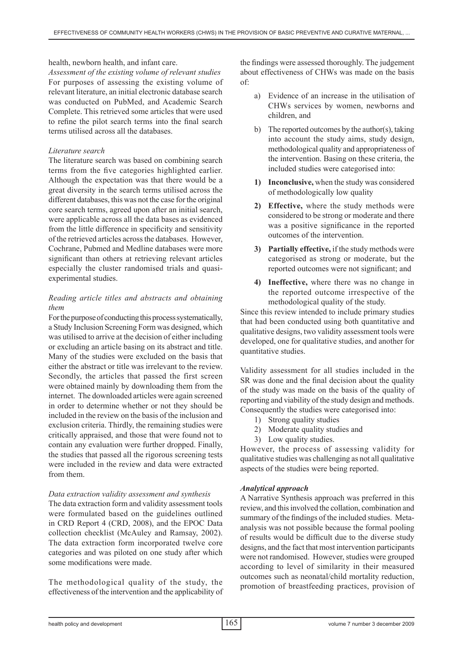health, newborn health, and infant care.

*Assessment of the existing volume of relevant studies* For purposes of assessing the existing volume of relevant literature, an initial electronic database search was conducted on PubMed, and Academic Search Complete. This retrieved some articles that were used to refine the pilot search terms into the final search terms utilised across all the databases.

#### *Literature search*

The literature search was based on combining search terms from the five categories highlighted earlier. Although the expectation was that there would be a great diversity in the search terms utilised across the different databases, this was not the case for the original core search terms, agreed upon after an initial search, were applicable across all the data bases as evidenced from the little difference in specificity and sensitivity of the retrieved articles across the databases. However, Cochrane, Pubmed and Medline databases were more significant than others at retrieving relevant articles especially the cluster randomised trials and quasiexperimental studies.

## *Reading article titles and abstracts and obtaining them*

For the purpose of conducting this process systematically, a Study Inclusion Screening Form was designed, which was utilised to arrive at the decision of either including or excluding an article basing on its abstract and title. Many of the studies were excluded on the basis that either the abstract or title was irrelevant to the review. Secondly, the articles that passed the first screen were obtained mainly by downloading them from the internet. The downloaded articles were again screened in order to determine whether or not they should be included in the review on the basis of the inclusion and exclusion criteria. Thirdly, the remaining studies were critically appraised, and those that were found not to contain any evaluation were further dropped. Finally, the studies that passed all the rigorous screening tests were included in the review and data were extracted from them.

#### *Data extraction validity assessment and synthesis*

The data extraction form and validity assessment tools were formulated based on the guidelines outlined in CRD Report 4 (CRD, 2008), and the EPOC Data collection checklist (McAuley and Ramsay, 2002). The data extraction form incorporated twelve core categories and was piloted on one study after which some modifications were made.

The methodological quality of the study, the effectiveness of the intervention and the applicability of

the findings were assessed thoroughly. The judgement about effectiveness of CHWs was made on the basis of:

- a) Evidence of an increase in the utilisation of CHWs services by women, newborns and children, and
- b) The reported outcomes by the author(s), taking into account the study aims, study design, methodological quality and appropriateness of the intervention. Basing on these criteria, the included studies were categorised into:
- **1) Inconclusive,** when the study was considered of methodologically low quality
- **2) Effective,** where the study methods were considered to be strong or moderate and there was a positive significance in the reported outcomes of the intervention.
- **3) Partially effective,** if the study methods were categorised as strong or moderate, but the reported outcomes were not significant; and
- **4) Ineffective,** where there was no change in the reported outcome irrespective of the methodological quality of the study.

Since this review intended to include primary studies that had been conducted using both quantitative and qualitative designs, two validity assessment tools were developed, one for qualitative studies, and another for quantitative studies.

Validity assessment for all studies included in the SR was done and the final decision about the quality of the study was made on the basis of the quality of reporting and viability of the study design and methods. Consequently the studies were categorised into:

- 1) Strong quality studies
- 2) Moderate quality studies and
- 3) Low quality studies.

However, the process of assessing validity for qualitative studies was challenging as not all qualitative aspects of the studies were being reported.

## *Analytical approach*

A Narrative Synthesis approach was preferred in this review, and this involved the collation, combination and summary of the findings of the included studies. Metaanalysis was not possible because the formal pooling of results would be difficult due to the diverse study designs, and the fact that most intervention participants were not randomised. However, studies were grouped according to level of similarity in their measured outcomes such as neonatal/child mortality reduction, promotion of breastfeeding practices, provision of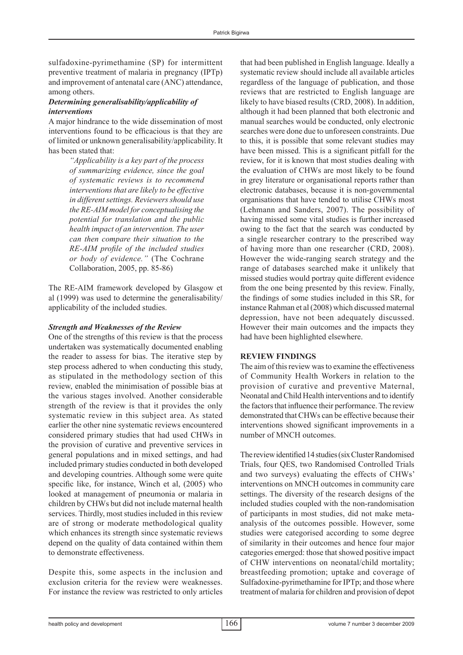sulfadoxine-pyrimethamine (SP) for intermittent preventive treatment of malaria in pregnancy (IPTp) and improvement of antenatal care (ANC) attendance, among others.

## *Determining generalisability/applicability of interventions*

A major hindrance to the wide dissemination of most interventions found to be efficacious is that they are of limited or unknown generalisability/applicability. It has been stated that:

> *"Applicability is a key part of the process of summarizing evidence, since the goal of systematic reviews is to recommend interventions that are likely to be effective in different settings. Reviewers should use the RE-AIM model for conceptualising the potential for translation and the public health impact of an intervention. The user can then compare their situation to the RE-AIM profile of the included studies or body of evidence."* (The Cochrane Collaboration, 2005, pp. 85-86)

The RE-AIM framework developed by Glasgow et al (1999) was used to determine the generalisability/ applicability of the included studies.

## *Strength and Weaknesses of the Review*

One of the strengths of this review is that the process undertaken was systematically documented enabling the reader to assess for bias. The iterative step by step process adhered to when conducting this study, as stipulated in the methodology section of this review, enabled the minimisation of possible bias at the various stages involved. Another considerable strength of the review is that it provides the only systematic review in this subject area. As stated earlier the other nine systematic reviews encountered considered primary studies that had used CHWs in the provision of curative and preventive services in general populations and in mixed settings, and had included primary studies conducted in both developed and developing countries. Although some were quite specific like, for instance, Winch et al, (2005) who looked at management of pneumonia or malaria in children by CHWs but did not include maternal health services. Thirdly, most studies included in this review are of strong or moderate methodological quality which enhances its strength since systematic reviews depend on the quality of data contained within them to demonstrate effectiveness.

Despite this, some aspects in the inclusion and exclusion criteria for the review were weaknesses. For instance the review was restricted to only articles

that had been published in English language. Ideally a systematic review should include all available articles regardless of the language of publication, and those reviews that are restricted to English language are likely to have biased results (CRD, 2008). In addition, although it had been planned that both electronic and manual searches would be conducted, only electronic searches were done due to unforeseen constraints. Due to this, it is possible that some relevant studies may have been missed. This is a significant pitfall for the review, for it is known that most studies dealing with the evaluation of CHWs are most likely to be found in grey literature or organisational reports rather than electronic databases, because it is non-governmental organisations that have tended to utilise CHWs most (Lehmann and Sanders, 2007). The possibility of having missed some vital studies is further increased owing to the fact that the search was conducted by a single researcher contrary to the prescribed way of having more than one researcher (CRD, 2008). However the wide-ranging search strategy and the range of databases searched make it unlikely that missed studies would portray quite different evidence from the one being presented by this review. Finally, the findings of some studies included in this SR, for instance Rahman et al (2008) which discussed maternal depression, have not been adequately discussed. However their main outcomes and the impacts they had have been highlighted elsewhere.

## **REVIEW FINDINGS**

The aim of this review was to examine the effectiveness of Community Health Workers in relation to the provision of curative and preventive Maternal, Neonatal and Child Health interventions and to identify the factors that influence their performance. The review demonstrated that CHWs can be effective because their interventions showed significant improvements in a number of MNCH outcomes.

The review identified 14 studies (six Cluster Randomised Trials, four QES, two Randomised Controlled Trials and two surveys) evaluating the effects of CHWs' interventions on MNCH outcomes in community care settings. The diversity of the research designs of the included studies coupled with the non-randomisation of participants in most studies, did not make metaanalysis of the outcomes possible. However, some studies were categorised according to some degree of similarity in their outcomes and hence four major categories emerged: those that showed positive impact of CHW interventions on neonatal/child mortality; breastfeeding promotion; uptake and coverage of Sulfadoxine-pyrimethamine for IPTp; and those where treatment of malaria for children and provision of depot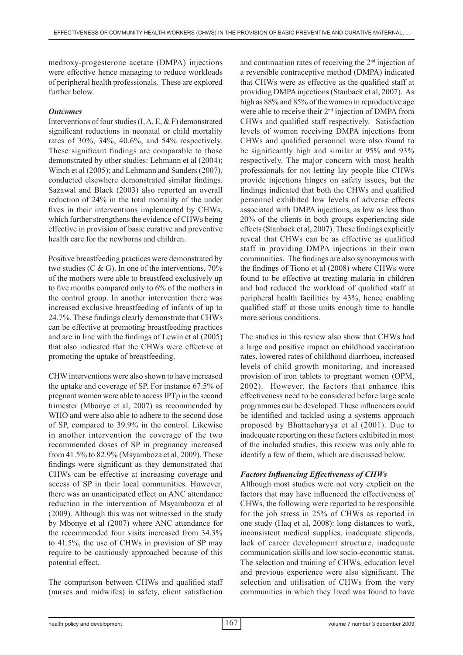medroxy-progesterone acetate (DMPA) injections were effective hence managing to reduce workloads of peripheral health professionals. These are explored further below.

#### *Outcomes*

Interventions of four studies  $(I, A, E, \& F)$  demonstrated significant reductions in neonatal or child mortality rates of 30%, 34%, 40.6%, and 54% respectively. These significant findings are comparable to those demonstrated by other studies: Lehmann et al (2004); Winch et al (2005); and Lehmann and Sanders (2007), conducted elsewhere demonstrated similar findings. Sazawal and Black (2003) also reported an overall reduction of 24% in the total mortality of the under fives in their interventions implemented by CHWs, which further strengthens the evidence of CHWs being effective in provision of basic curative and preventive health care for the newborns and children.

Positive breastfeeding practices were demonstrated by two studies (C & G). In one of the interventions,  $70\%$ of the mothers were able to breastfeed exclusively up to five months compared only to 6% of the mothers in the control group. In another intervention there was increased exclusive breastfeeding of infants of up to 24.7%. These findings clearly demonstrate that CHWs can be effective at promoting breastfeeding practices and are in line with the findings of Lewin et al (2005) that also indicated that the CHWs were effective at promoting the uptake of breastfeeding.

CHW interventions were also shown to have increased the uptake and coverage of SP. For instance 67.5% of pregnant women were able to access IPTp in the second trimester (Mbonye et al, 2007) as recommended by WHO and were also able to adhere to the second dose of SP, compared to 39.9% in the control. Likewise in another intervention the coverage of the two recommended doses of SP in pregnancy increased from 41.5% to 82.9% (Msyamboza et al, 2009). These findings were significant as they demonstrated that CHWs can be effective at increasing coverage and access of SP in their local communities. However, there was an unanticipated effect on ANC attendance reduction in the intervention of Msyambonza et al (2009). Although this was not witnessed in the study by Mbonye et al (2007) where ANC attendance for the recommended four visits increased from 34.3% to 41.5%, the use of CHWs in provision of SP may require to be cautiously approached because of this potential effect.

The comparison between CHWs and qualified staff (nurses and midwifes) in safety, client satisfaction

and continuation rates of receiving the 2nd injection of a reversible contraceptive method (DMPA) indicated that CHWs were as effective as the qualified staff at providing DMPA injections (Stanback et al, 2007). As high as 88% and 85% of the women in reproductive age were able to receive their 2<sup>nd</sup> injection of DMPA from CHWs and qualified staff respectively. Satisfaction levels of women receiving DMPA injections from CHWs and qualified personnel were also found to be significantly high and similar at 95% and 93% respectively. The major concern with most health professionals for not letting lay people like CHWs provide injections hinges on safety issues, but the findings indicated that both the CHWs and qualified personnel exhibited low levels of adverse effects associated with DMPA injections, as low as less than 20% of the clients in both groups experiencing side effects (Stanback et al, 2007). These findings explicitly reveal that CHWs can be as effective as qualified staff in providing DMPA injections in their own communities. The findings are also synonymous with the findings of Tiono et al (2008) where CHWs were found to be effective at treating malaria in children and had reduced the workload of qualified staff at peripheral health facilities by 43%, hence enabling qualified staff at those units enough time to handle more serious conditions.

The studies in this review also show that CHWs had a large and positive impact on childhood vaccination rates, lowered rates of childhood diarrhoea, increased levels of child growth monitoring, and increased provision of iron tablets to pregnant women (OPM, 2002). However, the factors that enhance this effectiveness need to be considered before large scale programmes can be developed. These influencers could be identified and tackled using a systems approach proposed by Bhattacharyya et al (2001). Due to inadequate reporting on these factors exhibited in most of the included studies, this review was only able to identify a few of them, which are discussed below.

## *Factors Influencing Effectiveness of CHWs*

Although most studies were not very explicit on the factors that may have influenced the effectiveness of CHWs, the following were reported to be responsible for the job stress in 25% of CHWs as reported in one study (Haq et al, 2008): long distances to work, inconsistent medical supplies, inadequate stipends, lack of career development structure, inadequate communication skills and low socio-economic status. The selection and training of CHWs, education level and previous experience were also significant. The selection and utilisation of CHWs from the very communities in which they lived was found to have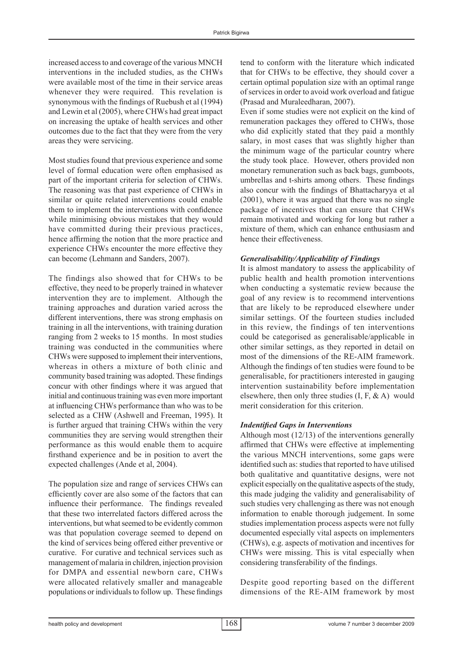increased access to and coverage of the various MNCH interventions in the included studies, as the CHWs were available most of the time in their service areas whenever they were required. This revelation is synonymous with the findings of Ruebush et al (1994) and Lewin et al (2005), where CHWs had great impact on increasing the uptake of health services and other outcomes due to the fact that they were from the very areas they were servicing.

Most studies found that previous experience and some level of formal education were often emphasised as part of the important criteria for selection of CHWs. The reasoning was that past experience of CHWs in similar or quite related interventions could enable them to implement the interventions with confidence while minimising obvious mistakes that they would have committed during their previous practices, hence affirming the notion that the more practice and experience CHWs encounter the more effective they can become (Lehmann and Sanders, 2007).

The findings also showed that for CHWs to be effective, they need to be properly trained in whatever intervention they are to implement. Although the training approaches and duration varied across the different interventions, there was strong emphasis on training in all the interventions, with training duration ranging from 2 weeks to 15 months. In most studies training was conducted in the communities where CHWs were supposed to implement their interventions, whereas in others a mixture of both clinic and community based training was adopted. These findings concur with other findings where it was argued that initial and continuous training was even more important at influencing CHWs performance than who was to be selected as a CHW (Ashwell and Freeman, 1995). It is further argued that training CHWs within the very communities they are serving would strengthen their performance as this would enable them to acquire firsthand experience and be in position to avert the expected challenges (Ande et al, 2004).

The population size and range of services CHWs can efficiently cover are also some of the factors that can influence their performance. The findings revealed that these two interrelated factors differed across the interventions, but what seemed to be evidently common was that population coverage seemed to depend on the kind of services being offered either preventive or curative. For curative and technical services such as management of malaria in children, injection provision for DMPA and essential newborn care, CHWs were allocated relatively smaller and manageable populations or individuals to follow up. These findings tend to conform with the literature which indicated that for CHWs to be effective, they should cover a certain optimal population size with an optimal range of services in order to avoid work overload and fatigue (Prasad and Muraleedharan, 2007).

Even if some studies were not explicit on the kind of remuneration packages they offered to CHWs, those who did explicitly stated that they paid a monthly salary, in most cases that was slightly higher than the minimum wage of the particular country where the study took place. However, others provided non monetary remuneration such as back bags, gumboots, umbrellas and t-shirts among others. These findings also concur with the findings of Bhattacharyya et al (2001), where it was argued that there was no single package of incentives that can ensure that CHWs remain motivated and working for long but rather a mixture of them, which can enhance enthusiasm and hence their effectiveness.

## *Generalisability/Applicability of Findings*

It is almost mandatory to assess the applicability of public health and health promotion interventions when conducting a systematic review because the goal of any review is to recommend interventions that are likely to be reproduced elsewhere under similar settings. Of the fourteen studies included in this review, the findings of ten interventions could be categorised as generalisable/applicable in other similar settings, as they reported in detail on most of the dimensions of the RE-AIM framework. Although the findings of ten studies were found to be generalisable, for practitioners interested in gauging intervention sustainability before implementation elsewhere, then only three studies  $(I, F, \& A)$  would merit consideration for this criterion.

## *Indentified Gaps in Interventions*

Although most (12/13) of the interventions generally affirmed that CHWs were effective at implementing the various MNCH interventions, some gaps were identified such as: studies that reported to have utilised both qualitative and quantitative designs, were not explicit especially on the qualitative aspects of the study, this made judging the validity and generalisability of such studies very challenging as there was not enough information to enable thorough judgement. In some studies implementation process aspects were not fully documented especially vital aspects on implementers (CHWs), e.g. aspects of motivation and incentives for CHWs were missing. This is vital especially when considering transferability of the findings.

Despite good reporting based on the different dimensions of the RE-AIM framework by most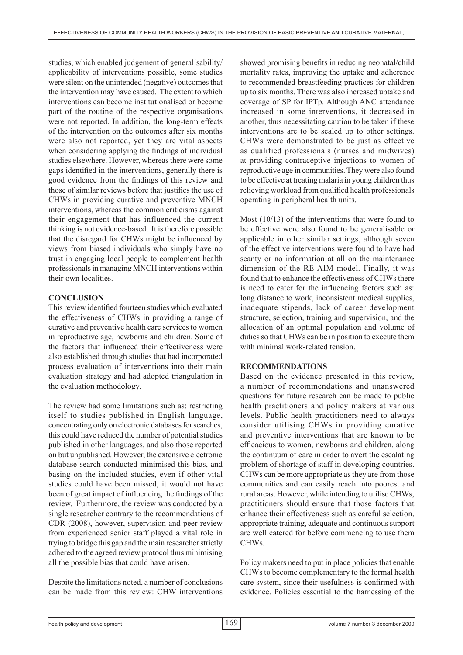studies, which enabled judgement of generalisability/ applicability of interventions possible, some studies were silent on the unintended (negative) outcomes that the intervention may have caused. The extent to which interventions can become institutionalised or become part of the routine of the respective organisations were not reported. In addition, the long-term effects of the intervention on the outcomes after six months were also not reported, yet they are vital aspects when considering applying the findings of individual studies elsewhere. However, whereas there were some gaps identified in the interventions, generally there is good evidence from the findings of this review and those of similar reviews before that justifies the use of CHWs in providing curative and preventive MNCH interventions, whereas the common criticisms against their engagement that has influenced the current thinking is not evidence-based. It is therefore possible that the disregard for CHWs might be influenced by views from biased individuals who simply have no trust in engaging local people to complement health professionals in managing MNCH interventions within their own localities.

#### **CONCLUSION**

This review identified fourteen studies which evaluated the effectiveness of CHWs in providing a range of curative and preventive health care services to women in reproductive age, newborns and children. Some of the factors that influenced their effectiveness were also established through studies that had incorporated process evaluation of interventions into their main evaluation strategy and had adopted triangulation in the evaluation methodology.

The review had some limitations such as: restricting itself to studies published in English language, concentrating only on electronic databases for searches, this could have reduced the number of potential studies published in other languages, and also those reported on but unpublished. However, the extensive electronic database search conducted minimised this bias, and basing on the included studies, even if other vital studies could have been missed, it would not have been of great impact of influencing the findings of the review. Furthermore, the review was conducted by a single researcher contrary to the recommendations of CDR (2008), however, supervision and peer review from experienced senior staff played a vital role in trying to bridge this gap and the main researcher strictly adhered to the agreed review protocol thus minimising all the possible bias that could have arisen.

Despite the limitations noted, a number of conclusions can be made from this review: CHW interventions showed promising benefits in reducing neonatal/child mortality rates, improving the uptake and adherence to recommended breastfeeding practices for children up to six months. There was also increased uptake and coverage of SP for IPTp. Although ANC attendance increased in some interventions, it decreased in another, thus necessitating caution to be taken if these interventions are to be scaled up to other settings. CHWs were demonstrated to be just as effective as qualified professionals (nurses and midwives) at providing contraceptive injections to women of reproductive age in communities. They were also found to be effective at treating malaria in young children thus relieving workload from qualified health professionals operating in peripheral health units.

Most (10/13) of the interventions that were found to be effective were also found to be generalisable or applicable in other similar settings, although seven of the effective interventions were found to have had scanty or no information at all on the maintenance dimension of the RE-AIM model. Finally, it was found that to enhance the effectiveness of CHWs there is need to cater for the influencing factors such as: long distance to work, inconsistent medical supplies, inadequate stipends, lack of career development structure, selection, training and supervision, and the allocation of an optimal population and volume of duties so that CHWs can be in position to execute them with minimal work-related tension.

#### **RECOMMENDATIONS**

Based on the evidence presented in this review, a number of recommendations and unanswered questions for future research can be made to public health practitioners and policy makers at various levels. Public health practitioners need to always consider utilising CHWs in providing curative and preventive interventions that are known to be efficacious to women, newborns and children, along the continuum of care in order to avert the escalating problem of shortage of staff in developing countries. CHWs can be more appropriate as they are from those communities and can easily reach into poorest and rural areas. However, while intending to utilise CHWs, practitioners should ensure that those factors that enhance their effectiveness such as careful selection, appropriate training, adequate and continuous support are well catered for before commencing to use them CHWs.

Policy makers need to put in place policies that enable CHWs to become complementary to the formal health care system, since their usefulness is confirmed with evidence. Policies essential to the harnessing of the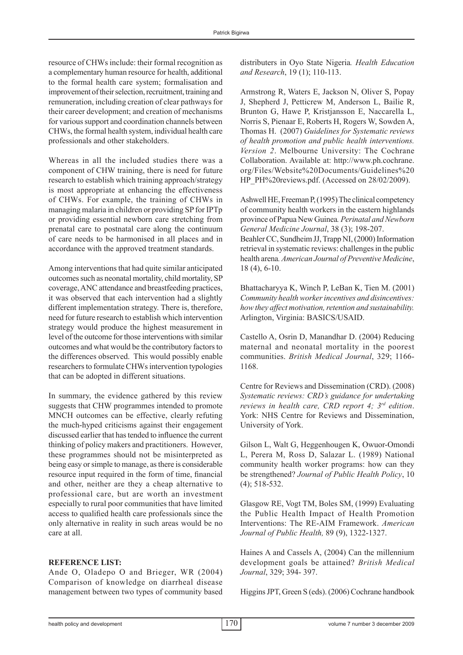resource of CHWs include: their formal recognition as a complementary human resource for health, additional to the formal health care system; formalisation and improvement of their selection, recruitment, training and remuneration, including creation of clear pathways for their career development; and creation of mechanisms for various support and coordination channels between CHWs, the formal health system, individual health care professionals and other stakeholders.

Whereas in all the included studies there was a component of CHW training, there is need for future research to establish which training approach/strategy is most appropriate at enhancing the effectiveness of CHWs. For example, the training of CHWs in managing malaria in children or providing SP for IPTp or providing essential newborn care stretching from prenatal care to postnatal care along the continuum of care needs to be harmonised in all places and in accordance with the approved treatment standards.

Among interventions that had quite similar anticipated outcomes such as neonatal mortality, child mortality, SP coverage, ANC attendance and breastfeeding practices, it was observed that each intervention had a slightly different implementation strategy. There is, therefore, need for future research to establish which intervention strategy would produce the highest measurement in level of the outcome for those interventions with similar outcomes and what would be the contributory factors to the differences observed. This would possibly enable researchers to formulate CHWs intervention typologies that can be adopted in different situations.

In summary, the evidence gathered by this review suggests that CHW programmes intended to promote MNCH outcomes can be effective, clearly refuting the much-hyped criticisms against their engagement discussed earlier that has tended to influence the current thinking of policy makers and practitioners. However, these programmes should not be misinterpreted as being easy or simple to manage, as there is considerable resource input required in the form of time, financial and other, neither are they a cheap alternative to professional care, but are worth an investment especially to rural poor communities that have limited access to qualified health care professionals since the only alternative in reality in such areas would be no care at all.

## **REFERENCE LIST:**

Ande O, Oladepo O and Brieger, WR (2004) Comparison of knowledge on diarrheal disease management between two types of community based

distributers in Oyo State Nigeria*. Health Education and Research*, 19 (1); 110-113.

Armstrong R, Waters E, Jackson N, Oliver S, Popay J, Shepherd J, Petticrew M, Anderson L, Bailie R, Brunton G, Hawe P, Kristjansson E, Naccarella L, Norris S, Pienaar E, Roberts H, Rogers W, Sowden A, Thomas H. (2007) *Guidelines for Systematic reviews of health promotion and public health interventions. Version 2*. Melbourne University: The Cochrane Collaboration. Available at: http://www.ph.cochrane. org/Files/Website%20Documents/Guidelines%20 HP\_PH%20reviews.pdf. (Accessed on 28/02/2009).

Ashwell HE, Freeman P, (1995) The clinical competency of community health workers in the eastern highlands province of Papua New Guinea*. Perinatal and Newborn General Medicine Journal*, 38 (3); 198-207. Beahler CC, Sundheim JJ, Trapp NI, (2000) Information retrieval in systematic reviews: challenges in the public health arena*. American Journal of Preventive Medicine*,

Bhattacharyya K, Winch P, LeBan K, Tien M. (2001) *Community health worker incentives and disincentives: how they affect motivation, retention and sustainability.* Arlington, Virginia: BASICS/USAID.

18 (4), 6-10.

Castello A, Osrin D, Manandhar D. (2004) Reducing maternal and neonatal mortality in the poorest communities. *British Medical Journal*, 329; 1166- 1168.

Centre for Reviews and Dissemination (CRD). (2008) *Systematic reviews: CRD's guidance for undertaking reviews in health care, CRD report 4; 3rd edition*. York: NHS Centre for Reviews and Dissemination, University of York.

Gilson L, Walt G, Heggenhougen K, Owuor-Omondi L, Perera M, Ross D, Salazar L. (1989) National community health worker programs: how can they be strengthened? *Journal of Public Health Policy*, 10 (4); 518-532.

Glasgow RE, Vogt TM, Boles SM, (1999) Evaluating the Public Health Impact of Health Promotion Interventions: The RE-AIM Framework. *American Journal of Public Health,* 89 (9), 1322-1327.

Haines A and Cassels A, (2004) Can the millennium development goals be attained? *British Medical Journal*, 329; 394- 397.

Higgins JPT, Green S (eds). (2006) Cochrane handbook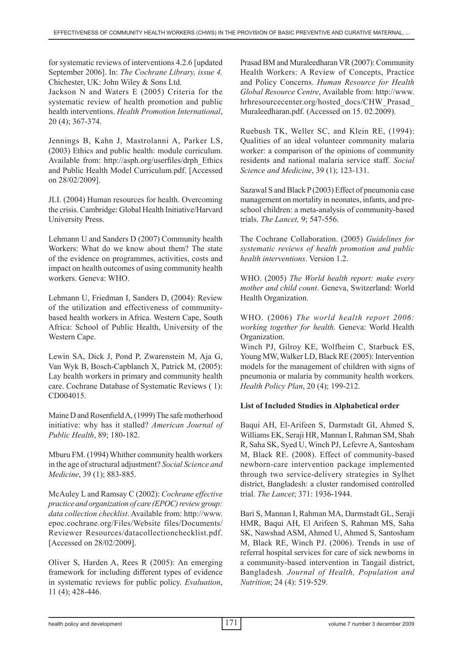for systematic reviews of interventions 4.2.6 [updated September 2006]. In: *The Cochrane Library, issue 4.* Chichester, UK: John Wiley & Sons Ltd.

Jackson N and Waters E (2005) Criteria for the systematic review of health promotion and public health interventions. *Health Promotion International*, 20 (4); 367-374.

Jennings B, Kahn J, Mastrolanni A, Parker LS, (2003) Ethics and public health: module curriculum. Available from: http://asph.org/userfiles/drph\_Ethics and Public Health Model Curriculum.pdf. [Accessed on 28/02/2009].

JLI. (2004) Human resources for health. Overcoming the crisis. Cambridge: Global Health Initiative/Harvard University Press.

Lehmann U and Sanders D (2007) Community health Workers: What do we know about them? The state of the evidence on programmes, activities, costs and impact on health outcomes of using community health workers. Geneva: WHO.

Lehmann U, Friedman I, Sanders D, (2004): Review of the utilization and effectiveness of communitybased health workers in Africa. Western Cape, South Africa: School of Public Health, University of the Western Cape.

Lewin SA, Dick J, Pond P, Zwarenstein M, Aja G, Van Wyk B, Bosch-Capblanch X, Patrick M, (2005): Lay health workers in primary and community health care. Cochrane Database of Systematic Reviews ( 1): CD004015.

Maine D and Rosenfield A, (1999) The safe motherhood initiative: why has it stalled? *American Journal of Public Health*, 89; 180-182.

Mburu FM. (1994) Whither community health workers in the age of structural adjustment? *Social Science and Medicine*, 39 (1); 883-885.

McAuley L and Ramsay C (2002): *Cochrane effective practice and organization of care (EPOC) review group: data collection checklist*. Available from: http://www. epoc.cochrane.org/Files/Website files/Documents/ Reviewer Resources/datacollectionchecklist.pdf. [Accessed on 28/02/2009].

Oliver S, Harden A, Rees R (2005): An emerging framework for including different types of evidence in systematic reviews for public policy. *Evaluation*, 11 (4); 428-446.

Prasad BM and Muraleedharan VR (2007): Community Health Workers: A Review of Concepts, Practice and Policy Concerns. *Human Resource for Health Global Resource Centre*, Available from: http://www. hrhresourcecenter.org/hosted\_docs/CHW\_Prasad\_ Muraleedharan.pdf. (Accessed on 15. 02.2009).

Ruebush TK, Weller SC, and Klein RE, (1994): Qualities of an ideal volunteer community malaria worker: a comparison of the opinions of community residents and national malaria service staff*. Social Science and Medicine*, 39 (1); 123-131.

Sazawal S and Black P (2003) Effect of pneumonia case management on mortality in neonates, infants, and preschool children: a meta-analysis of community-based trials. *The Lancet,* 9; 547-556.

The Cochrane Collaboration. (2005) *Guidelines for systematic reviews of health promotion and public health interventions*. Version 1.2.

WHO. (2005) *The World health report: make every mother and child count*. Geneva, Switzerland: World Health Organization.

WHO. (2006) *The world health report 2006: working together for health.* Geneva: World Health Organization.

Winch PJ, Gilroy KE, Wolfheim C, Starbuck ES, Young MW, Walker LD, Black RE (2005): Intervention models for the management of children with signs of pneumonia or malaria by community health workers*. Health Policy Plan*, 20 (4); 199-212.

#### **List of Included Studies in Alphabetical order**

Baqui AH, El-Arifeen S, Darmstadt GI, Ahmed S, Williams EK, Seraji HR, Mannan I, Rahman SM, Shah R, Saha SK, Syed U, Winch PJ, Lefevre A, Santosham M, Black RE. (2008). Effect of community-based newborn-care intervention package implemented through two service-delivery strategies in Sylhet district, Bangladesh: a cluster randomised controlled trial. *The Lancet*; 371: 1936-1944.

Bari S, Mannan I, Rahman MA, Darmstadt GL, Seraji HMR, Baqui AH, El Arifeen S, Rahman MS, Saha SK, Nawshad ASM, Ahmed U, Ahmed S, Santosham M, Black RE, Winch PJ. (2006). Trends in use of referral hospital services for care of sick newborns in a community-based intervention in Tangail district, Bangladesh*. Journal of Health, Population and Nutrition*; 24 (4): 519-529.